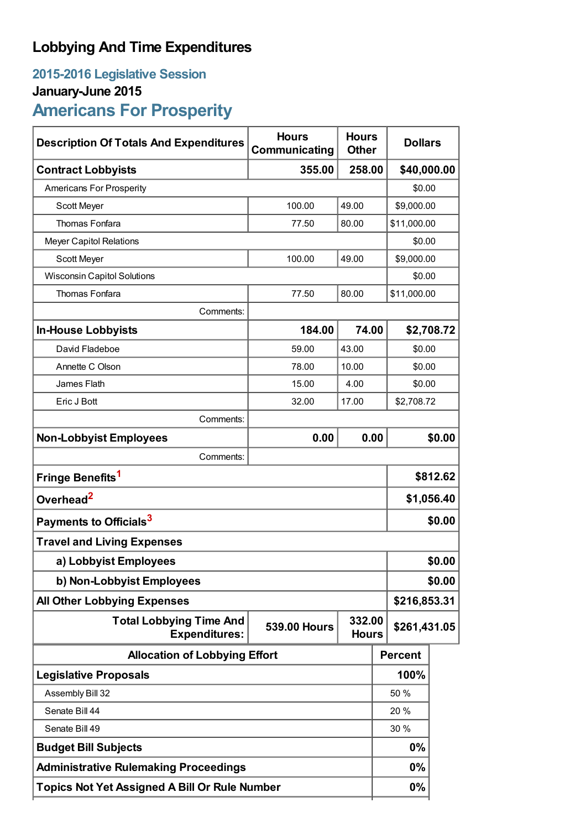## **Lobbying And Time Expenditures**

# **2015-2016 Legislative Session**

## **January-June 2015**

## **Americans For Prosperity**

| <b>Description Of Totals And Expenditures</b>          | <b>Hours</b><br>Communicating                 | <b>Hours</b><br><b>Other</b> | <b>Dollars</b> |              |  |
|--------------------------------------------------------|-----------------------------------------------|------------------------------|----------------|--------------|--|
| <b>Contract Lobbyists</b>                              | 355.00                                        | 258.00                       |                | \$40,000.00  |  |
| Americans For Prosperity                               |                                               |                              | \$0.00         |              |  |
| Scott Meyer                                            | 100.00                                        | 49.00                        | \$9,000.00     |              |  |
| Thomas Fonfara                                         | 77.50                                         | 80.00                        | \$11,000.00    |              |  |
| <b>Meyer Capitol Relations</b>                         |                                               |                              | \$0.00         |              |  |
| Scott Meyer                                            | 100.00                                        | 49.00                        | \$9,000.00     |              |  |
| <b>Wisconsin Capitol Solutions</b>                     |                                               |                              |                | \$0.00       |  |
| Thomas Fonfara                                         | 77.50                                         | 80.00                        | \$11,000.00    |              |  |
| Comments:                                              |                                               |                              |                |              |  |
| <b>In-House Lobbyists</b>                              | 184.00                                        | 74.00                        |                | \$2,708.72   |  |
| David Fladeboe                                         | 59.00                                         | 43.00                        | \$0.00         |              |  |
| Annette C Olson                                        | 78.00                                         | 10.00                        | \$0.00         |              |  |
| James Flath                                            | 15.00                                         | 4.00                         | \$0.00         |              |  |
| Eric J Bott                                            | 32.00                                         | 17.00                        | \$2,708.72     |              |  |
| Comments:                                              |                                               |                              |                |              |  |
| <b>Non-Lobbyist Employees</b>                          | 0.00                                          | 0.00                         |                | \$0.00       |  |
| Comments:                                              |                                               |                              |                |              |  |
| Fringe Benefits <sup>1</sup>                           |                                               |                              |                | \$812.62     |  |
| Overhead <sup>2</sup>                                  |                                               |                              |                | \$1,056.40   |  |
| Payments to Officials <sup>3</sup>                     |                                               |                              |                | \$0.00       |  |
| <b>Travel and Living Expenses</b>                      |                                               |                              |                |              |  |
| a) Lobbyist Employees                                  |                                               |                              |                | \$0.00       |  |
| b) Non-Lobbyist Employees                              |                                               |                              |                | \$0.00       |  |
| <b>All Other Lobbying Expenses</b>                     |                                               |                              |                | \$216,853.31 |  |
| <b>Total Lobbying Time And</b><br><b>Expenditures:</b> | 332.00<br><b>539.00 Hours</b><br><b>Hours</b> |                              | \$261,431.05   |              |  |
| <b>Allocation of Lobbying Effort</b>                   |                                               |                              | <b>Percent</b> |              |  |
| <b>Legislative Proposals</b>                           |                                               |                              | 100%           |              |  |
| Assembly Bill 32                                       |                                               |                              | 50 %           |              |  |
| Senate Bill 44                                         |                                               |                              | 20 %           |              |  |
| Senate Bill 49                                         |                                               |                              | 30 %           |              |  |
| <b>Budget Bill Subjects</b>                            |                                               |                              | 0%             |              |  |
| <b>Administrative Rulemaking Proceedings</b>           |                                               |                              | 0%             |              |  |
| <b>Topics Not Yet Assigned A Bill Or Rule Number</b>   |                                               |                              | $0\%$          |              |  |